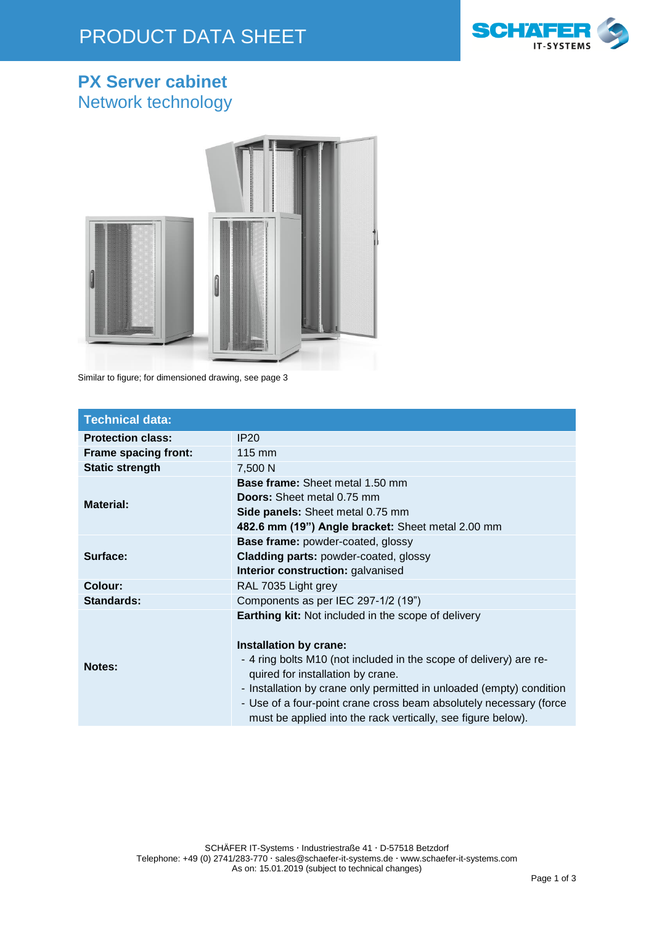## PRODUCT DATA SHEET



#### **PX Server cabinet** Network technology



Similar to figure; for dimensioned drawing, see page 3

| <b>Technical data:</b>   |                                                                                                                                                                                                                                                                                                                                                                                                               |
|--------------------------|---------------------------------------------------------------------------------------------------------------------------------------------------------------------------------------------------------------------------------------------------------------------------------------------------------------------------------------------------------------------------------------------------------------|
| <b>Protection class:</b> | IP <sub>20</sub>                                                                                                                                                                                                                                                                                                                                                                                              |
| Frame spacing front:     | $115 \text{ mm}$                                                                                                                                                                                                                                                                                                                                                                                              |
| <b>Static strength</b>   | 7,500 N                                                                                                                                                                                                                                                                                                                                                                                                       |
| <b>Material:</b>         | <b>Base frame:</b> Sheet metal 1.50 mm<br><b>Doors:</b> Sheet metal 0.75 mm<br>Side panels: Sheet metal 0.75 mm<br>482.6 mm (19") Angle bracket: Sheet metal 2.00 mm                                                                                                                                                                                                                                          |
| Surface:                 | <b>Base frame: powder-coated, glossy</b><br><b>Cladding parts: powder-coated, glossy</b><br>Interior construction: galvanised                                                                                                                                                                                                                                                                                 |
| Colour:                  | RAL 7035 Light grey                                                                                                                                                                                                                                                                                                                                                                                           |
| <b>Standards:</b>        | Components as per IEC 297-1/2 (19")                                                                                                                                                                                                                                                                                                                                                                           |
| Notes:                   | <b>Earthing kit:</b> Not included in the scope of delivery<br>Installation by crane:<br>- 4 ring bolts M10 (not included in the scope of delivery) are re-<br>quired for installation by crane.<br>- Installation by crane only permitted in unloaded (empty) condition<br>- Use of a four-point crane cross beam absolutely necessary (force<br>must be applied into the rack vertically, see figure below). |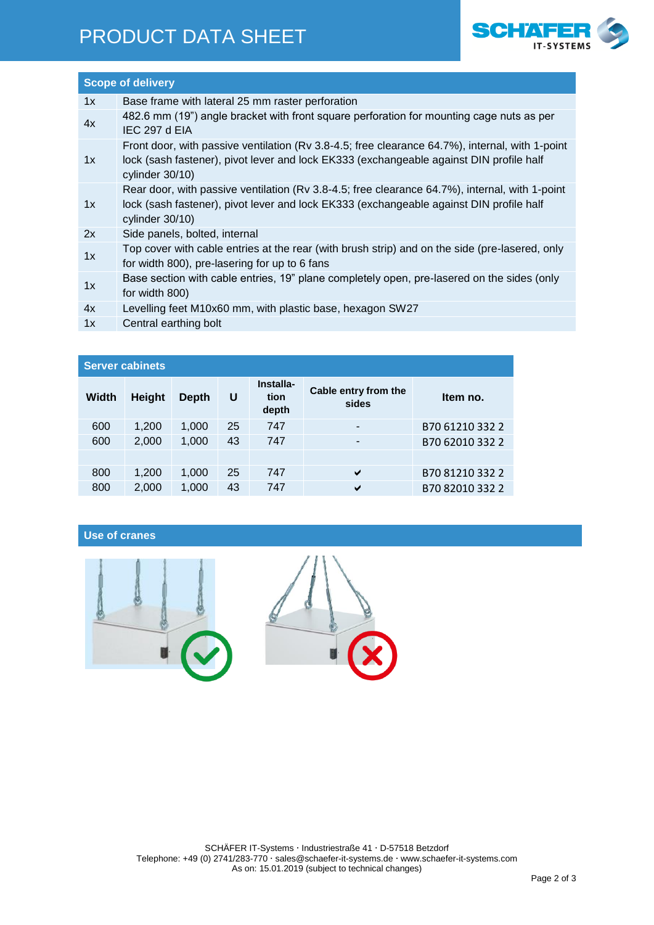### PRODUCT DATA SHEET



| <b>Scope of delivery</b> |                                                                                                                                                                                                                  |  |  |  |
|--------------------------|------------------------------------------------------------------------------------------------------------------------------------------------------------------------------------------------------------------|--|--|--|
| 1x                       | Base frame with lateral 25 mm raster perforation                                                                                                                                                                 |  |  |  |
| 4x                       | 482.6 mm (19") angle bracket with front square perforation for mounting cage nuts as per<br>IEC 297 d EIA                                                                                                        |  |  |  |
| 1x                       | Front door, with passive ventilation (Rv 3.8-4.5; free clearance 64.7%), internal, with 1-point<br>lock (sash fastener), pivot lever and lock EK333 (exchangeable against DIN profile half<br>cylinder $30/10$ ) |  |  |  |
| 1x                       | Rear door, with passive ventilation (Rv 3.8-4.5; free clearance 64.7%), internal, with 1-point<br>lock (sash fastener), pivot lever and lock EK333 (exchangeable against DIN profile half<br>cylinder $30/10$ )  |  |  |  |
| 2x                       | Side panels, bolted, internal                                                                                                                                                                                    |  |  |  |
| 1x                       | Top cover with cable entries at the rear (with brush strip) and on the side (pre-lasered, only<br>for width 800), pre-lasering for up to 6 fans                                                                  |  |  |  |
| 1x                       | Base section with cable entries, 19" plane completely open, pre-lasered on the sides (only<br>for width 800)                                                                                                     |  |  |  |
| 4x                       | Levelling feet M10x60 mm, with plastic base, hexagon SW27                                                                                                                                                        |  |  |  |
| 1x                       | Central earthing bolt                                                                                                                                                                                            |  |  |  |

| <b>Server cabinets</b> |               |       |    |                            |                               |                 |  |  |  |
|------------------------|---------------|-------|----|----------------------------|-------------------------------|-----------------|--|--|--|
| Width                  | <b>Height</b> | Depth | U  | Installa-<br>tion<br>depth | Cable entry from the<br>sides | Item no.        |  |  |  |
| 600                    | 1,200         | 1,000 | 25 | 747                        | -                             | B70 61210 332 2 |  |  |  |
| 600                    | 2,000         | 1,000 | 43 | 747                        | -                             | B70 62010 332 2 |  |  |  |
|                        |               |       |    |                            |                               |                 |  |  |  |
| 800                    | 1,200         | 1,000 | 25 | 747                        | ✔                             | B70 81210 332 2 |  |  |  |
| 800                    | 2,000         | 1,000 | 43 | 747                        | ✔                             | B70 82010 332 2 |  |  |  |
|                        |               |       |    |                            |                               |                 |  |  |  |

**Use of cranes**